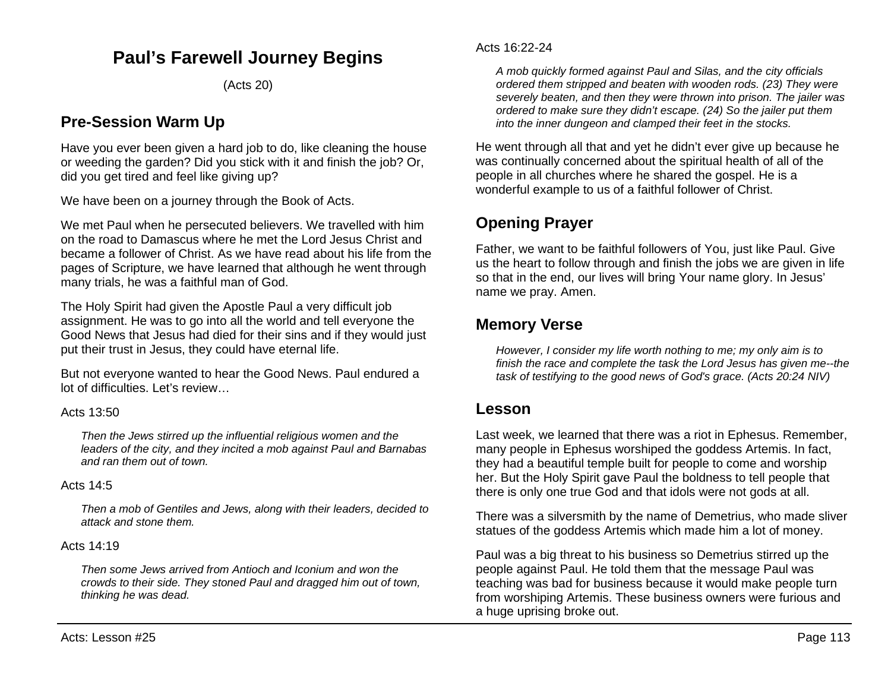# **Paul's Farewell Journey Begins**

(Acts 20)

## **Pre-Session Warm Up**

Have you ever been given a hard job to do, like cleaning the house or weeding the garden? Did you stick with it and finish the job? Or, did you get tired and feel like giving up?

We have been on a journey through the Book of Acts.

We met Paul when he persecuted believers. We travelled with him on the road to Damascus where he met the Lord Jesus Christ and became a follower of Christ. As we have read about his life from the pages of Scripture, we have learned that although he went through many trials, he was a faithful man of God.

The Holy Spirit had given the Apostle Paul a very difficult job assignment. He was to go into all the world and tell everyone the Good News that Jesus had died for their sins and if they would just put their trust in Jesus, they could have eternal life.

But not everyone wanted to hear the Good News. Paul endured a lot of difficulties. Let's review…

#### Acts 13:50

*Then the Jews stirred up the influential religious women and the leaders of the city, and they incited a mob against Paul and Barnabas and ran them out of town.*

#### Acts 14:5

*Then a mob of Gentiles and Jews, along with their leaders, decided to attack and stone them.*

#### Acts 14:19

*Then some Jews arrived from Antioch and Iconium and won the crowds to their side. They stoned Paul and dragged him out of town, thinking he was dead.*

*A mob quickly formed against Paul and Silas, and the city officials ordered them stripped and beaten with wooden rods. (23) They were severely beaten, and then they were thrown into prison. The jailer was ordered to make sure they didn't escape. (24) So the jailer put them into the inner dungeon and clamped their feet in the stocks.*

He went through all that and yet he didn't ever give up because he was continually concerned about the spiritual health of all of the people in all churches where he shared the gospel. He is a wonderful example to us of a faithful follower of Christ.

## **Opening Prayer**

Father, we want to be faithful followers of You, just like Paul. Give us the heart to follow through and finish the jobs we are given in life so that in the end, our lives will bring Your name glory. In Jesus' name we pray. Amen.

## **Memory Verse**

*However, I consider my life worth nothing to me; my only aim is to finish the race and complete the task the Lord Jesus has given me--the task of testifying to the good news of God's grace. (Acts 20:24 NIV)*

### **Lesson**

Last week, we learned that there was a riot in Ephesus. Remember, many people in Ephesus worshiped the goddess Artemis. In fact, they had a beautiful temple built for people to come and worship her. But the Holy Spirit gave Paul the boldness to tell people that there is only one true God and that idols were not gods at all.

There was a silversmith by the name of Demetrius, who made sliver statues of the goddess Artemis which made him a lot of money.

Paul was a big threat to his business so Demetrius stirred up the people against Paul. He told them that the message Paul was teaching was bad for business because it would make people turn from worshiping Artemis. These business owners were furious and a huge uprising broke out.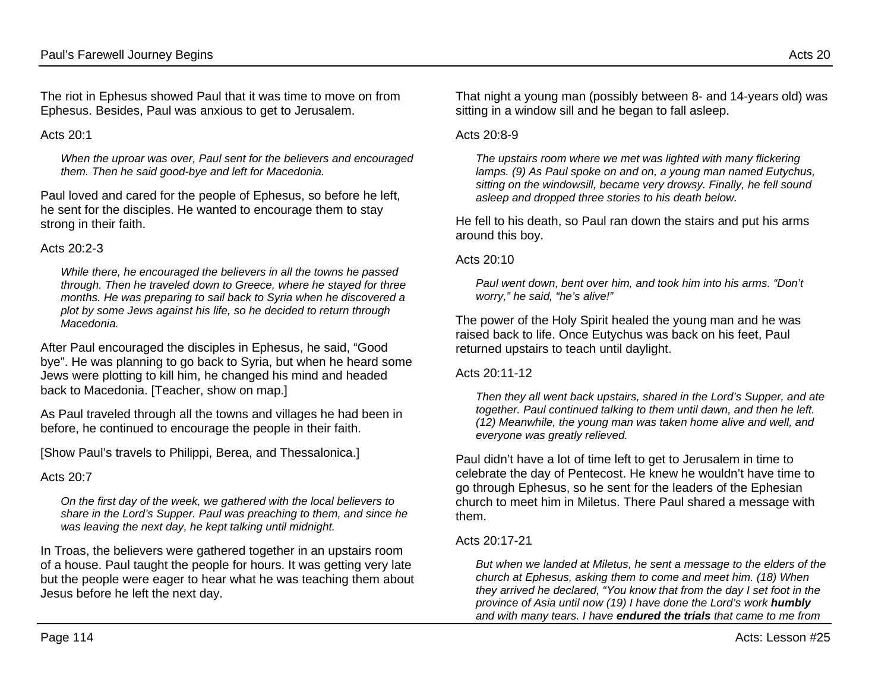The riot in Ephesus showed Paul that it was time to move on from Ephesus. Besides, Paul was anxious to get to Jerusalem.

Acts  $20.1$ 

*When the uproar was over, Paul sent for the believers and encouraged them. Then he said good-bye and left for Macedonia.*

Paul loved and cared for the people of Ephesus, so before he left, he sent for the disciples. He wanted to encourage them to stay strong in their faith.

#### Acts 20:2-3

*While there, he encouraged the believers in all the towns he passed through. Then he traveled down to Greece, where he stayed for three months. He was preparing to sail back to Syria when he discovered a plot by some Jews against his life, so he decided to return through Macedonia.*

After Paul encouraged the disciples in Ephesus, he said, "Good bye". He was planning to go back to Syria, but when he heard some Jews were plotting to kill him, he changed his mind and headed back to Macedonia. [Teacher, show on map.]

As Paul traveled through all the towns and villages he had been in before, he continued to encourage the people in their faith.

[Show Paul's travels to Philippi, Berea, and Thessalonica.]

#### Acts 20:7

*On the first day of the week, we gathered with the local believers to share in the Lord's Supper. Paul was preaching to them, and since he was leaving the next day, he kept talking until midnight.*

In Troas, the believers were gathered together in an upstairs room of a house. Paul taught the people for hours. It was getting very late but the people were eager to hear what he was teaching them about Jesus before he left the next day.

That night a young man (possibly between 8- and 14-years old) was sitting in a window sill and he began to fall asleep.

#### Acts  $20.8-9$

*The upstairs room where we met was lighted with many flickering lamps. (9) As Paul spoke on and on, a young man named Eutychus, sitting on the windowsill, became very drowsy. Finally, he fell sound asleep and dropped three stories to his death below.*

He fell to his death, so Paul ran down the stairs and put his arms around this boy.

Acts 20:10

*Paul went down, bent over him, and took him into his arms. "Don't worry," he said, "he's alive!"*

The power of the Holy Spirit healed the young man and he was raised back to life. Once Eutychus was back on his feet, Paul returned upstairs to teach until daylight.

Acts 20:11-12

*Then they all went back upstairs, shared in the Lord's Supper, and ate together. Paul continued talking to them until dawn, and then he left. (12) Meanwhile, the young man was taken home alive and well, and everyone was greatly relieved.*

Paul didn't have a lot of time left to get to Jerusalem in time to celebrate the day of Pentecost. He knew he wouldn't have time to go through Ephesus, so he sent for the leaders of the Ephesian church to meet him in Miletus. There Paul shared a message with them.

### Acts 20:17-21

*But when we landed at Miletus, he sent a message to the elders of the church at Ephesus, asking them to come and meet him. (18) When they arrived he declared, "You know that from the day I set foot in the province of Asia until now (19) I have done the Lord's work humbly and with many tears. I have endured the trials that came to me from*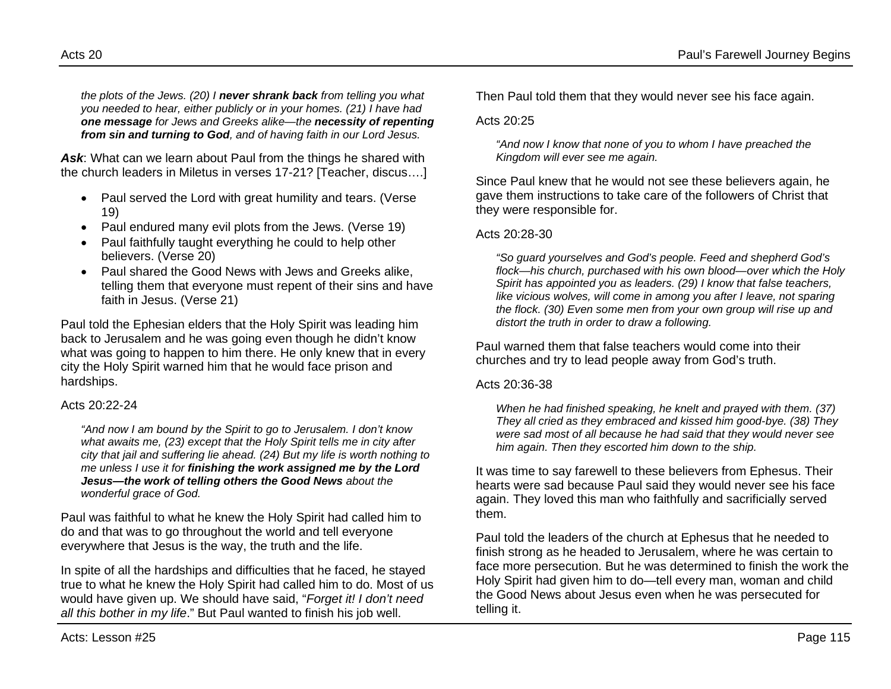*the plots of the Jews. (20) I never shrank back from telling you what you needed to hear, either publicly or in your homes. (21) I have had one message for Jews and Greeks alike—the necessity of repenting from sin and turning to God, and of having faith in our Lord Jesus.*

Ask: What can we learn about Paul from the things he shared with the church leaders in Miletus in verses 17-21? [Teacher, discus….]

- Paul served the Lord with great humility and tears. (Verse 19)
- Paul endured many evil plots from the Jews. (Verse 19)
- Paul faithfully taught everything he could to help other believers. (Verse 20)
- Paul shared the Good News with Jews and Greeks alike, telling them that everyone must repent of their sins and have faith in Jesus. (Verse 21)

Paul told the Ephesian elders that the Holy Spirit was leading him back to Jerusalem and he was going even though he didn't know what was going to happen to him there. He only knew that in every city the Holy Spirit warned him that he would face prison and hardships.

### Acts 20:22-24

*"And now I am bound by the Spirit to go to Jerusalem. I don't know what awaits me, (23) except that the Holy Spirit tells me in city after city that jail and suffering lie ahead. (24) But my life is worth nothing to me unless I use it for finishing the work assigned me by the Lord Jesus—the work of telling others the Good News about the wonderful grace of God.*

Paul was faithful to what he knew the Holy Spirit had called him to do and that was to go throughout the world and tell everyone everywhere that Jesus is the way, the truth and the life.

In spite of all the hardships and difficulties that he faced, he stayed true to what he knew the Holy Spirit had called him to do. Most of us would have given up. We should have said, "*Forget it! I don't need all this bother in my life*." But Paul wanted to finish his job well.

Then Paul told them that they would never see his face again.

#### Acts  $20.25$

*"And now I know that none of you to whom I have preached the Kingdom will ever see me again.*

Since Paul knew that he would not see these believers again, he gave them instructions to take care of the followers of Christ that they were responsible for.

### Acts 20:28-30

*"So guard yourselves and God's people. Feed and shepherd God's flock—his church, purchased with his own blood—over which the Holy Spirit has appointed you as leaders. (29) I know that false teachers, like vicious wolves, will come in among you after I leave, not sparing the flock. (30) Even some men from your own group will rise up and distort the truth in order to draw a following.*

Paul warned them that false teachers would come into their churches and try to lead people away from God's truth.

#### Acts 20:36-38

*When he had finished speaking, he knelt and prayed with them. (37) They all cried as they embraced and kissed him good-bye. (38) They were sad most of all because he had said that they would never see him again. Then they escorted him down to the ship.*

It was time to say farewell to these believers from Ephesus. Their hearts were sad because Paul said they would never see his face again. They loved this man who faithfully and sacrificially served them.

Paul told the leaders of the church at Ephesus that he needed to finish strong as he headed to Jerusalem, where he was certain to face more persecution. But he was determined to finish the work the Holy Spirit had given him to do—tell every man, woman and child the Good News about Jesus even when he was persecuted for telling it.